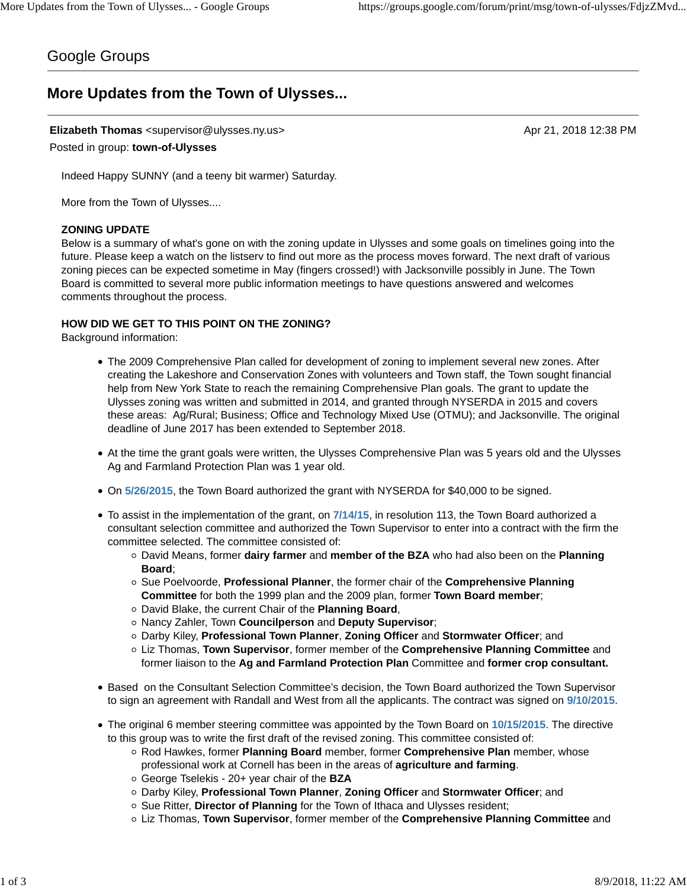## Google Groups

# **More Updates from the Town of Ulysses...**

## **Elizabeth Thomas** <supervisor@ulysses.ny.us> Apr 21, 2018 12:38 PM

Posted in group: **town-of-Ulysses**

Indeed Happy SUNNY (and a teeny bit warmer) Saturday.

More from the Town of Ulysses....

#### **ZONING UPDATE**

Below is a summary of what's gone on with the zoning update in Ulysses and some goals on timelines going into the future. Please keep a watch on the listserv to find out more as the process moves forward. The next draft of various zoning pieces can be expected sometime in May (fingers crossed!) with Jacksonville possibly in June. The Town Board is committed to several more public information meetings to have questions answered and welcomes comments throughout the process.

#### **HOW DID WE GET TO THIS POINT ON THE ZONING?**

Background information:

- The 2009 Comprehensive Plan called for development of zoning to implement several new zones. After creating the Lakeshore and Conservation Zones with volunteers and Town staff, the Town sought financial help from New York State to reach the remaining Comprehensive Plan goals. The grant to update the Ulysses zoning was written and submitted in 2014, and granted through NYSERDA in 2015 and covers these areas: Ag/Rural; Business; Office and Technology Mixed Use (OTMU); and Jacksonville. The original deadline of June 2017 has been extended to September 2018.
- At the time the grant goals were written, the Ulysses Comprehensive Plan was 5 years old and the Ulysses Ag and Farmland Protection Plan was 1 year old.
- On **5/26/2015**, the Town Board authorized the grant with NYSERDA for \$40,000 to be signed.
- To assist in the implementation of the grant, on **7/14/15**, in resolution 113, the Town Board authorized a consultant selection committee and authorized the Town Supervisor to enter into a contract with the firm the committee selected. The committee consisted of:
	- David Means, former **dairy farmer** and **member of the BZA** who had also been on the **Planning Board**;
	- Sue Poelvoorde, **Professional Planner**, the former chair of the **Comprehensive Planning Committee** for both the 1999 plan and the 2009 plan, former **Town Board member**;
	- David Blake, the current Chair of the **Planning Board**,
	- Nancy Zahler, Town **Councilperson** and **Deputy Supervisor**;
	- Darby Kiley, **Professional Town Planner**, **Zoning Officer** and **Stormwater Officer**; and
	- Liz Thomas, **Town Supervisor**, former member of the **Comprehensive Planning Committee** and former liaison to the **Ag and Farmland Protection Plan** Committee and **former crop consultant.**
- Based on the Consultant Selection Committee's decision, the Town Board authorized the Town Supervisor to sign an agreement with Randall and West from all the applicants. The contract was signed on **9/10/2015**.
- The original 6 member steering committee was appointed by the Town Board on **10/15/2015**. The directive to this group was to write the first draft of the revised zoning. This committee consisted of:
	- Rod Hawkes, former **Planning Board** member, former **Comprehensive Plan** member, whose professional work at Cornell has been in the areas of **agriculture and farming**.
	- George Tselekis 20+ year chair of the **BZA**
	- Darby Kiley, **Professional Town Planner**, **Zoning Officer** and **Stormwater Officer**; and
	- Sue Ritter, **Director of Planning** for the Town of Ithaca and Ulysses resident;
	- Liz Thomas, **Town Supervisor**, former member of the **Comprehensive Planning Committee** and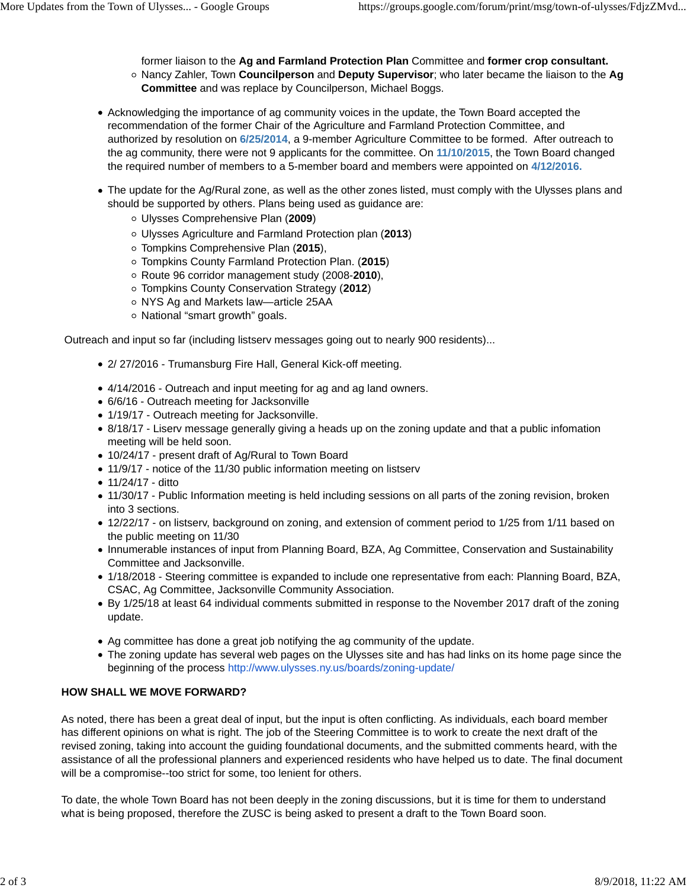former liaison to the **Ag and Farmland Protection Plan** Committee and **former crop consultant.** Nancy Zahler, Town **Councilperson** and **Deputy Supervisor**; who later became the liaison to the **Ag Committee** and was replace by Councilperson, Michael Boggs.

- Acknowledging the importance of ag community voices in the update, the Town Board accepted the recommendation of the former Chair of the Agriculture and Farmland Protection Committee, and authorized by resolution on **6/25/2014**, a 9-member Agriculture Committee to be formed. After outreach to the ag community, there were not 9 applicants for the committee. On **11/10/2015**, the Town Board changed the required number of members to a 5-member board and members were appointed on **4/12/2016.**
- The update for the Ag/Rural zone, as well as the other zones listed, must comply with the Ulysses plans and should be supported by others. Plans being used as guidance are:
	- Ulysses Comprehensive Plan (**2009**)
	- Ulysses Agriculture and Farmland Protection plan (**2013**)
	- Tompkins Comprehensive Plan (**2015**),
	- Tompkins County Farmland Protection Plan. (**2015**)
	- Route 96 corridor management study (2008-**2010**),
	- Tompkins County Conservation Strategy (**2012**)
	- o NYS Ag and Markets law—article 25AA
	- National "smart growth" goals.

Outreach and input so far (including listserv messages going out to nearly 900 residents)...

- 2/ 27/2016 Trumansburg Fire Hall, General Kick-off meeting.
- 4/14/2016 Outreach and input meeting for ag and ag land owners.
- 6/6/16 Outreach meeting for Jacksonville
- 1/19/17 Outreach meeting for Jacksonville.
- 8/18/17 Liserv message generally giving a heads up on the zoning update and that a public infomation meeting will be held soon.
- 10/24/17 present draft of Ag/Rural to Town Board
- 11/9/17 notice of the 11/30 public information meeting on listserv
- 11/24/17 ditto
- 11/30/17 Public Information meeting is held including sessions on all parts of the zoning revision, broken into 3 sections.
- 12/22/17 on listserv, background on zoning, and extension of comment period to 1/25 from 1/11 based on the public meeting on 11/30
- Innumerable instances of input from Planning Board, BZA, Ag Committee, Conservation and Sustainability Committee and Jacksonville.
- 1/18/2018 Steering committee is expanded to include one representative from each: Planning Board, BZA, CSAC, Ag Committee, Jacksonville Community Association.
- By 1/25/18 at least 64 individual comments submitted in response to the November 2017 draft of the zoning update.
- Ag committee has done a great job notifying the ag community of the update.
- The zoning update has several web pages on the Ulysses site and has had links on its home page since the beginning of the process http://www.ulysses.ny.us/boards/zoning-update/

## **HOW SHALL WE MOVE FORWARD?**

As noted, there has been a great deal of input, but the input is often conflicting. As individuals, each board member has different opinions on what is right. The job of the Steering Committee is to work to create the next draft of the revised zoning, taking into account the guiding foundational documents, and the submitted comments heard, with the assistance of all the professional planners and experienced residents who have helped us to date. The final document will be a compromise--too strict for some, too lenient for others.

To date, the whole Town Board has not been deeply in the zoning discussions, but it is time for them to understand what is being proposed, therefore the ZUSC is being asked to present a draft to the Town Board soon.